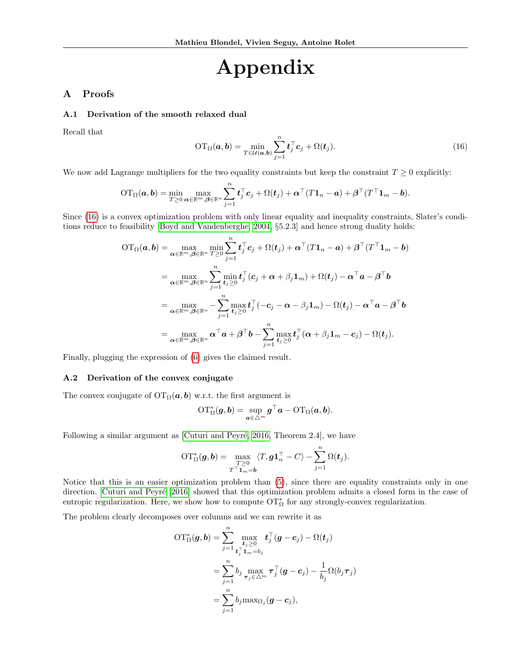# <span id="page-0-0"></span>Appendix

## A Proofs

#### A.1 Derivation of the smooth relaxed dual

Recall that

$$
\mathrm{OT}_{\Omega}(\boldsymbol{a},\boldsymbol{b}) = \min_{T \in \mathcal{U}(\boldsymbol{a},\boldsymbol{b})} \sum_{j=1}^{n} \boldsymbol{t}_{j}^{\top} \boldsymbol{c}_{j} + \Omega(\boldsymbol{t}_{j}). \tag{16}
$$

We now add Lagrange multipliers for the two equality constraints but keep the constraint  $T \geq 0$  explicitly:

$$
\mathrm{OT}_{\Omega}(\boldsymbol{a},\boldsymbol{b}) = \min_{T \geq 0} \max_{\boldsymbol{\alpha} \in \mathbb{R}^m, \boldsymbol{\beta} \in \mathbb{R}^n} \sum_{j=1}^n \boldsymbol{t}_j^{\top} \boldsymbol{c}_j + \Omega(\boldsymbol{t}_j) + \boldsymbol{\alpha}^{\top} (T \boldsymbol{1}_n - \boldsymbol{a}) + \boldsymbol{\beta}^{\top} (T^{\top} \boldsymbol{1}_m - \boldsymbol{b}).
$$

Since [\(16\)](#page-0-0) is a convex optimization problem with only linear equality and inequality constraints, Slater's conditions reduce to feasibility [\[Boyd and Vandenberghe, 2004,](#page--1-0) §5.2.3] and hence strong duality holds:

$$
OT_{\Omega}(\boldsymbol{a},\boldsymbol{b}) = \max_{\boldsymbol{\alpha} \in \mathbb{R}^m, \boldsymbol{\beta} \in \mathbb{R}^n} \min_{T \geq 0} \sum_{j=1}^n \boldsymbol{t}_j^{\top} \boldsymbol{c}_j + \Omega(\boldsymbol{t}_j) + \boldsymbol{\alpha}^{\top} (T \mathbf{1}_n - \boldsymbol{a}) + \boldsymbol{\beta}^{\top} (T^{\top} \mathbf{1}_m - \boldsymbol{b})
$$
  
\n
$$
= \max_{\boldsymbol{\alpha} \in \mathbb{R}^m, \boldsymbol{\beta} \in \mathbb{R}^n} \sum_{j=1}^n \min_{\boldsymbol{t}_j \geq 0} \boldsymbol{t}_j^{\top} (\boldsymbol{c}_j + \boldsymbol{\alpha} + \beta_j \mathbf{1}_m) + \Omega(\boldsymbol{t}_j) - \boldsymbol{\alpha}^{\top} \boldsymbol{a} - \boldsymbol{\beta}^{\top} \boldsymbol{b}
$$
  
\n
$$
= \max_{\boldsymbol{\alpha} \in \mathbb{R}^m, \boldsymbol{\beta} \in \mathbb{R}^n} - \sum_{j=1}^n \max_{\boldsymbol{t}_j \geq 0} \boldsymbol{t}_j^{\top} (-\boldsymbol{c}_j - \boldsymbol{\alpha} - \beta_j \mathbf{1}_m) - \Omega(\boldsymbol{t}_j) - \boldsymbol{\alpha}^{\top} \boldsymbol{a} - \boldsymbol{\beta}^{\top} \boldsymbol{b}
$$
  
\n
$$
= \max_{\boldsymbol{\alpha} \in \mathbb{R}^m, \boldsymbol{\beta} \in \mathbb{R}^n} \boldsymbol{\alpha}^{\top} \boldsymbol{a} + \boldsymbol{\beta}^{\top} \boldsymbol{b} - \sum_{j=1}^n \max_{\boldsymbol{t}_j \geq 0} \boldsymbol{t}_j^{\top} (\boldsymbol{\alpha} + \beta_j \mathbf{1}_m - \boldsymbol{c}_j) - \Omega(\boldsymbol{t}_j).
$$

Finally, plugging the expression of [\(6\)](#page--1-1) gives the claimed result.

#### A.2 Derivation of the convex conjugate

The convex conjugate of  $\mathrm{OT}_\Omega(a, b)$  w.r.t. the first argument is

$$
\mathrm{OT}^*_{\Omega}(\bm{g}, \bm{b}) = \sup_{\bm{a} \in \triangle^m} \bm{g}^\top \bm{a} - \mathrm{OT}_{\Omega}(\bm{a}, \bm{b}).
$$

Following a similar argument as  $\lbrack$ Cuturi and Peyré, 2016, Theorem 2.4, we have

$$
\mathrm{OT}^*_{\Omega}(\boldsymbol{g}, \boldsymbol{b}) = \max_{\substack{T \geq 0 \\ T^\top \mathbf{1}_m = \boldsymbol{b}}} \langle T, \boldsymbol{g} \mathbf{1}_n^\top - C \rangle - \sum_{j=1}^n \Omega(t_j).
$$

Notice that this is an easier optimization problem than [\(5\)](#page--1-3), since there are equality constraints only in one direction. Cuturi and Peyré [2016] showed that this optimization problem admits a closed form in the case of entropic regularization. Here, we show how to compute  $\mathrm{OT}^*_{\Omega}$  for any strongly-convex regularization.

The problem clearly decomposes over columns and we can rewrite it as

$$
OT^*_\Omega(\boldsymbol{g}, \boldsymbol{b}) = \sum_{j=1}^n \max_{\substack{\boldsymbol{t}_j^{\top} \boldsymbol{1}_m = b_j \\ \boldsymbol{t}_j^{\top} \boldsymbol{1}_m = b_j}} \boldsymbol{t}_j^{\top}(\boldsymbol{g} - \boldsymbol{c}_j) - \Omega(\boldsymbol{t}_j) \\ = \sum_{j=1}^n b_j \max_{\boldsymbol{\tau}_j \in \triangle^m} \boldsymbol{\tau}_j^{\top}(\boldsymbol{g} - \boldsymbol{c}_j) - \frac{1}{b_j} \Omega(b_j \boldsymbol{\tau}_j) \\ = \sum_{j=1}^n b_j \max_{\Omega_j} (\boldsymbol{g} - \boldsymbol{c}_j),
$$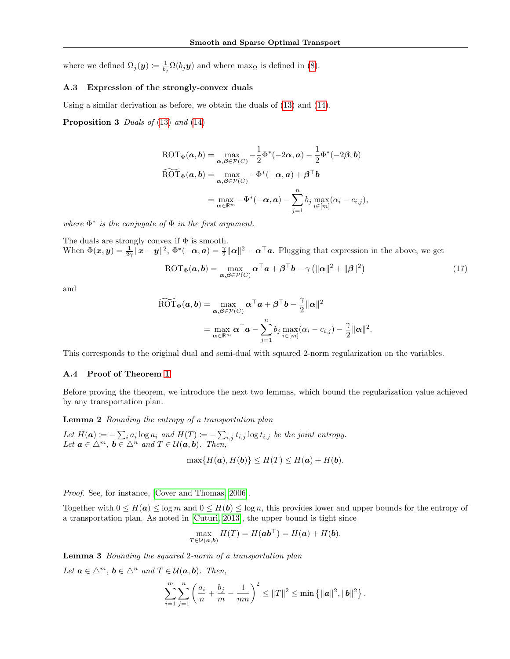where we defined  $\Omega_j(\mathbf{y}) \coloneqq \frac{1}{b_j} \Omega(b_j \mathbf{y})$  and where  $\max_{\Omega}$  is defined in [\(8\)](#page--1-4).

#### A.3 Expression of the strongly-convex duals

Using a similar derivation as before, we obtain the duals of [\(13\)](#page--1-5) and [\(14\)](#page--1-6).

**Proposition 3** Duals of  $(13)$  and  $(14)$ 

$$
\text{ROT}_{\Phi}(\mathbf{a}, \mathbf{b}) = \max_{\mathbf{\alpha}, \mathbf{\beta} \in \mathcal{P}(C)} -\frac{1}{2} \Phi^*(-2\mathbf{\alpha}, \mathbf{a}) - \frac{1}{2} \Phi^*(-2\mathbf{\beta}, \mathbf{b})
$$
  

$$
\widehat{\text{ROT}}_{\Phi}(\mathbf{a}, \mathbf{b}) = \max_{\mathbf{\alpha}, \mathbf{\beta} \in \mathcal{P}(C)} -\Phi^*(-\mathbf{\alpha}, \mathbf{a}) + \mathbf{\beta}^\top \mathbf{b}
$$
  

$$
= \max_{\mathbf{\alpha} \in \mathbb{R}^m} -\Phi^*(-\mathbf{\alpha}, \mathbf{a}) - \sum_{j=1}^n b_j \max_{i \in [m]} (\alpha_i - c_{i,j}),
$$

where  $\Phi^*$  is the conjugate of  $\Phi$  in the first argument.

The duals are strongly convex if  $\Phi$  is smooth. When  $\Phi(\mathbf{x}, \mathbf{y}) = \frac{1}{2\gamma} ||\mathbf{x} - \mathbf{y}||^2$ ,  $\Phi^*(-\alpha, \mathbf{a}) = \frac{\gamma}{2} ||\alpha||^2 - \alpha^\top \mathbf{a}$ . Plugging that expression in the above, we get

<span id="page-1-2"></span>
$$
\text{ROT}_{\Phi}(\boldsymbol{a},\boldsymbol{b}) = \max_{\boldsymbol{\alpha},\boldsymbol{\beta} \in \mathcal{P}(C)} \boldsymbol{\alpha}^{\top} \boldsymbol{a} + \boldsymbol{\beta}^{\top} \boldsymbol{b} - \gamma \left( \|\boldsymbol{\alpha}\|^{2} + \|\boldsymbol{\beta}\|^{2} \right) \tag{17}
$$

and

$$
\widetilde{\text{ROT}}_{\Phi}(\boldsymbol{a},\boldsymbol{b}) = \max_{\boldsymbol{\alpha},\boldsymbol{\beta}\in\mathcal{P}(C)} \boldsymbol{\alpha}^{\top}\boldsymbol{a} + \boldsymbol{\beta}^{\top}\boldsymbol{b} - \frac{\gamma}{2} \|\boldsymbol{\alpha}\|^{2}
$$

$$
= \max_{\boldsymbol{\alpha}\in\mathbb{R}^{m}} \boldsymbol{\alpha}^{\top}\boldsymbol{a} - \sum_{j=1}^{n} b_{j} \max_{i\in[m]} (\alpha_{i} - c_{i,j}) - \frac{\gamma}{2} \|\boldsymbol{\alpha}\|^{2}.
$$

This corresponds to the original dual and semi-dual with squared 2-norm regularization on the variables.

### A.4 Proof of Theorem [1](#page--1-7)

Before proving the theorem, we introduce the next two lemmas, which bound the regularization value achieved by any transportation plan.

<span id="page-1-0"></span>Lemma 2 Bounding the entropy of a transportation plan

Let  $H(a) \coloneqq -\sum_i a_i \log a_i$  and  $H(T) \coloneqq -\sum_{i,j} t_{i,j} \log t_{i,j}$  be the joint entropy. Let  $\mathbf{a} \in \Delta^m$ ,  $\mathbf{b} \in \Delta^n$  and  $T \in \mathcal{U}(\mathbf{a}, \mathbf{b})$ . Then,

$$
\max\{H(\mathbf{a}), H(\mathbf{b})\} \le H(T) \le H(\mathbf{a}) + H(\mathbf{b}).
$$

Proof. See, for instance, [\[Cover and Thomas, 2006\]](#page--1-8).

Together with  $0 \leq H(a) \leq \log m$  and  $0 \leq H(b) \leq \log n$ , this provides lower and upper bounds for the entropy of a transportation plan. As noted in [\[Cuturi, 2013\]](#page--1-9), the upper bound is tight since

$$
\max_{T \in \mathcal{U}(\boldsymbol{a},\boldsymbol{b})} H(T) = H(\boldsymbol{a}\boldsymbol{b}^{\top}) = H(\boldsymbol{a}) + H(\boldsymbol{b}).
$$

<span id="page-1-1"></span>Lemma 3 Bounding the squared 2-norm of a transportation plan

Let  $\mathbf{a} \in \Delta^m$ ,  $\mathbf{b} \in \Delta^n$  and  $T \in \mathcal{U}(\mathbf{a}, \mathbf{b})$ . Then,

$$
\sum_{i=1}^m \sum_{j=1}^n \left( \frac{a_i}{n} + \frac{b_j}{m} - \frac{1}{mn} \right)^2 \le ||T||^2 \le \min \left\{ ||a||^2, ||b||^2 \right\}.
$$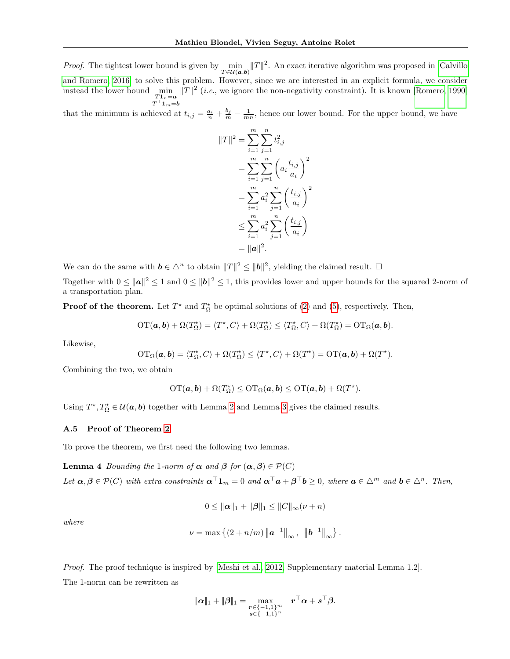*Proof.* The tightest lower bound is given by  $\mu$  min  $T \in \mathcal{U}(\boldsymbol{a},\boldsymbol{b})$  $||T||^2$ . An exact iterative algorithm was proposed in [\[Calvillo](#page--1-10)] [and Romero, 2016\]](#page--1-10) to solve this problem. However, since we are interested in an explicit formula, we consider instead the lower bound  $\min_{T1_n=a} \|T\|^2$  (*i.e.*, we ignore the non-negativity constraint). It is known [\[Romero, 1990\]](#page--1-11)  $T^{\top}$ **1**<sub>m</sub>=**b** 

that the minimum is achieved at  $t_{i,j} = \frac{a_i}{n} + \frac{b_j}{m} - \frac{1}{mn}$ , hence our lower bound. For the upper bound, we have

$$
||T||^2 = \sum_{i=1}^m \sum_{j=1}^n t_{i,j}^2
$$
  
= 
$$
\sum_{i=1}^m \sum_{j=1}^n \left( a_i \frac{t_{i,j}}{a_i} \right)^2
$$
  
= 
$$
\sum_{i=1}^m a_i^2 \sum_{j=1}^n \left( \frac{t_{i,j}}{a_i} \right)^2
$$
  

$$
\leq \sum_{i=1}^m a_i^2 \sum_{j=1}^n \left( \frac{t_{i,j}}{a_i} \right)
$$
  
= 
$$
||a||^2.
$$

We can do the same with  $\mathbf{b} \in \Delta^n$  to obtain  $||T||^2 \le ||\mathbf{b}||^2$ , yielding the claimed result.  $\Box$ 

Together with  $0 \le ||a||^2 \le 1$  and  $0 \le ||b||^2 \le 1$ , this provides lower and upper bounds for the squared 2-norm of a transportation plan.

**Proof of the theorem.** Let  $T^*$  and  $T^*_{\Omega}$  be optimal solutions of [\(2\)](#page--1-12) and [\(5\)](#page--1-3), respectively. Then,

$$
\mathrm{OT}(\mathbf{a},\mathbf{b})+\Omega(T_{\Omega}^{\star})=\langle T^{\star},C\rangle+\Omega(T_{\Omega}^{\star})\leq \langle T_{\Omega}^{\star},C\rangle+\Omega(T_{\Omega}^{\star})=\mathrm{OT}_{\Omega}(\mathbf{a},\mathbf{b}).
$$

Likewise,

$$
\mathrm{OT}_{\Omega}(\boldsymbol{a},\boldsymbol{b})=\langle T_{\Omega}^{\star},C\rangle+\Omega(T_{\Omega}^{\star})\leq\langle T^{\star},C\rangle+\Omega(T^{\star})=\mathrm{OT}(\boldsymbol{a},\boldsymbol{b})+\Omega(T^{\star}).
$$

Combining the two, we obtain

$$
\mathrm{OT}(\boldsymbol{a},\boldsymbol{b})+\Omega(T_{\Omega}^{\star})\leq\mathrm{OT}_{\Omega}(\boldsymbol{a},\boldsymbol{b})\leq\mathrm{OT}(\boldsymbol{a},\boldsymbol{b})+\Omega(T^{\star}).
$$

Using  $T^*, T^*_\Omega \in \mathcal{U}(\boldsymbol{a}, \boldsymbol{b})$  together with Lemma [2](#page-1-0) and Lemma [3](#page-1-1) gives the claimed results.

#### A.5 Proof of Theorem [2](#page--1-13)

<span id="page-2-0"></span>To prove the theorem, we first need the following two lemmas.

**Lemma 4** Bounding the 1-norm of  $\alpha$  and  $\beta$  for  $(\alpha, \beta) \in \mathcal{P}(C)$ 

Let  $\boldsymbol{\alpha}, \boldsymbol{\beta} \in \mathcal{P}(C)$  with extra constraints  $\boldsymbol{\alpha}^\top \mathbf{1}_m = 0$  and  $\boldsymbol{\alpha}^\top \boldsymbol{a} + \boldsymbol{\beta}^\top \boldsymbol{b} \geq 0$ , where  $\boldsymbol{a} \in \triangle^m$  and  $\boldsymbol{b} \in \triangle^n$ . Then,

$$
0 \le ||\alpha||_1 + ||\beta||_1 \le ||C||_{\infty}(\nu + n)
$$

where

$$
\nu = \max \left\{ (2 + n/m) \| \mathbf{a}^{-1} \|_{\infty}, \|\mathbf{b}^{-1} \|_{\infty} \right\}.
$$

Proof. The proof technique is inspired by [\[Meshi et al., 2012,](#page--1-14) Supplementary material Lemma 1.2]. The 1-norm can be rewritten as

$$
\lVert \boldsymbol{\alpha} \rVert_1 + \lVert \boldsymbol{\beta} \rVert_1 = \max_{\substack{\boldsymbol{r} \in \{-1,1\}^m \\ \boldsymbol{s} \in \{-1,1\}^n}} \quad \boldsymbol{r}^\top \boldsymbol{\alpha} + \boldsymbol{s}^\top \boldsymbol{\beta}.
$$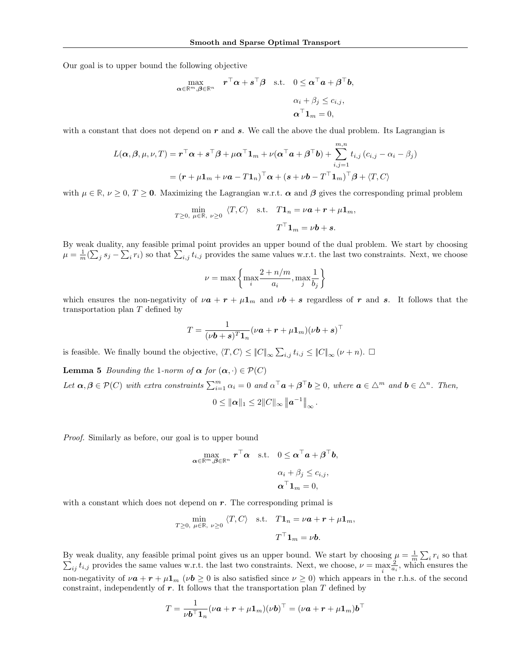Our goal is to upper bound the following objective

$$
\begin{aligned}\n\max_{\alpha \in \mathbb{R}^m, \beta \in \mathbb{R}^n} \quad & \boldsymbol{r}^\top \alpha + \boldsymbol{s}^\top \beta \quad \text{s.t.} \quad 0 \leq \alpha^\top \boldsymbol{a} + \beta^\top \boldsymbol{b}, \\
&\alpha_i + \beta_j \leq c_{i,j}, \\
&\alpha^\top \boldsymbol{1}_m = 0,\n\end{aligned}
$$

with a constant that does not depend on  $r$  and  $s$ . We call the above the dual problem. Its Lagrangian is

$$
L(\boldsymbol{\alpha}, \boldsymbol{\beta}, \mu, \nu, T) = \mathbf{r}^{\top} \boldsymbol{\alpha} + \mathbf{s}^{\top} \boldsymbol{\beta} + \mu \boldsymbol{\alpha}^{\top} \mathbf{1}_{m} + \nu (\boldsymbol{\alpha}^{\top} \boldsymbol{a} + \boldsymbol{\beta}^{\top} \boldsymbol{b}) + \sum_{i,j=1}^{m,n} t_{i,j} (c_{i,j} - \alpha_{i} - \beta_{j})
$$

$$
= (\mathbf{r} + \mu \mathbf{1}_{m} + \nu \mathbf{a} - T \mathbf{1}_{n})^{\top} \boldsymbol{\alpha} + (\mathbf{s} + \nu \mathbf{b} - T^{\top} \mathbf{1}_{m})^{\top} \boldsymbol{\beta} + \langle T, C \rangle
$$

with  $\mu \in \mathbb{R}$ ,  $\nu \geq 0$ ,  $T \geq 0$ . Maximizing the Lagrangian w.r.t.  $\alpha$  and  $\beta$  gives the corresponding primal problem

$$
\min_{T \geq 0, \ \mu \in \mathbb{R}, \ \nu \geq 0} \ \langle T, C \rangle \quad \text{s.t.} \quad T\mathbf{1}_n = \nu \mathbf{a} + \mathbf{r} + \mu \mathbf{1}_m,
$$
\n
$$
T^{\top} \mathbf{1}_m = \nu \mathbf{b} + \mathbf{s}.
$$

By weak duality, any feasible primal point provides an upper bound of the dual problem. We start by choosing  $\mu = \frac{1}{m}(\sum_j s_j - \sum_i r_i)$  so that  $\sum_{i,j} t_{i,j}$  provides the same values w.r.t. the last two constraints. Next, we choose

$$
\nu = \max \left\{ \max_{i} \frac{2 + n/m}{a_i}, \max_{j} \frac{1}{b_j} \right\}
$$

which ensures the non-negativity of  $\nu a + r + \mu 1_m$  and  $\nu b + s$  regardless of r and s. It follows that the transportation plan T defined by

$$
T = \frac{1}{(\nu \boldsymbol{b} + \boldsymbol{s})^T \boldsymbol{1}_n} (\nu \boldsymbol{a} + \boldsymbol{r} + \mu \boldsymbol{1}_m) (\nu \boldsymbol{b} + \boldsymbol{s})^\top
$$

is feasible. We finally bound the objective,  $\langle T, C \rangle \leq ||C||_{\infty} \sum_{i,j} t_{i,j} \leq ||C||_{\infty} (\nu + n)$ .  $\Box$ 

<span id="page-3-0"></span>**Lemma 5** Bounding the 1-norm of  $\alpha$  for  $(\alpha, \cdot) \in \mathcal{P}(C)$ Let  $\boldsymbol{\alpha}, \boldsymbol{\beta} \in \mathcal{P}(C)$  with extra constraints  $\sum_{i=1}^{m} \alpha_i = 0$  and  $\alpha^{\top} \boldsymbol{a} + \boldsymbol{\beta}^{\top} \boldsymbol{b} \geq 0$ , where  $\boldsymbol{a} \in \Delta^m$  and  $\boldsymbol{b} \in \Delta^n$ . Then,

$$
0 \le ||\pmb{\alpha}||_1 \le 2||C||_{\infty} ||\pmb{a}^{-1}||_{\infty}
$$

.

Proof. Similarly as before, our goal is to upper bound

$$
\max_{\boldsymbol{\alpha} \in \mathbb{R}^m, \boldsymbol{\beta} \in \mathbb{R}^n} \mathbf{r}^\top \boldsymbol{\alpha} \quad \text{s.t.} \quad 0 \leq \boldsymbol{\alpha}^\top \boldsymbol{a} + \boldsymbol{\beta}^\top \boldsymbol{b},
$$
\n
$$
\alpha_i + \beta_j \leq c_{i,j},
$$
\n
$$
\boldsymbol{\alpha}^\top \boldsymbol{1}_m = 0,
$$

with a constant which does not depend on  $r$ . The corresponding primal is

$$
\min_{T \geq 0, \ \mu \in \mathbb{R}, \ \nu \geq 0} \langle T, C \rangle \quad \text{s.t.} \quad T\mathbf{1}_n = \nu \mathbf{a} + \mathbf{r} + \mu \mathbf{1}_m,
$$
\n
$$
T^{\top} \mathbf{1}_m = \nu \mathbf{b}.
$$

By weak duality, any feasible primal point gives us an upper bound. We start by choosing  $\mu = \frac{1}{m} \sum_i$ <br> $\sum_i t_i$  is provides the same values w.r.t. the last two constraints. Next, we choose,  $\nu = \max_i \frac{2}{n}$ , which e  $r_i$  so that  $_{ij}$   $t_{i,j}$  provides the same values w.r.t. the last two constraints. Next, we choose,  $\nu = \max_{i}$  $\frac{2}{a_i}$ , which ensures the non-negativity of  $\nu \mathbf{a} + \mathbf{r} + \mu \mathbf{1}_m$  ( $\nu \mathbf{b} \geq 0$  is also satisfied since  $\nu \geq 0$ ) which appears in the r.h.s. of the second constraint, independently of  $r$ . It follows that the transportation plan T defined by

$$
T = \frac{1}{\nu b^{\top} \mathbf{1}_n} (\nu \mathbf{a} + \mathbf{r} + \mu \mathbf{1}_m) (\nu \mathbf{b})^{\top} = (\nu \mathbf{a} + \mathbf{r} + \mu \mathbf{1}_m) \mathbf{b}^{\top}
$$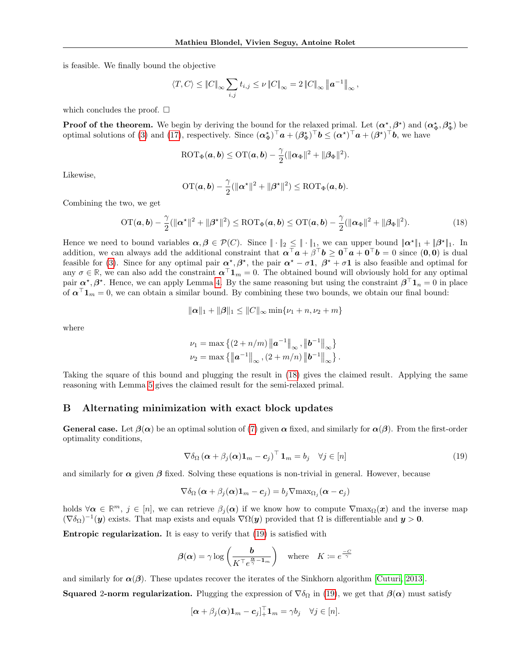is feasible. We finally bound the objective

$$
\langle T, C \rangle \leq \|C\|_{\infty} \sum_{i,j} t_{i,j} \leq \nu \|C\|_{\infty} = 2 \|C\|_{\infty} \|a^{-1}\|_{\infty},
$$

which concludes the proof.  $\square$ 

**Proof of the theorem.** We begin by deriving the bound for the relaxed primal. Let  $(\alpha^*_{,a}, \beta^*)$  and  $(\alpha^*_{\Phi}, \beta^*_{\Phi})$  be optimal solutions of [\(3\)](#page--1-15) and [\(17\)](#page-1-2), respectively. Since  $(\boldsymbol{\alpha}_{\Phi}^{\star})^{\top} \boldsymbol{a} + (\boldsymbol{\beta}_{\Phi}^{\star})^{\top} \boldsymbol{b} \leq (\boldsymbol{\alpha}^{\star})^{\top} \boldsymbol{a} + (\boldsymbol{\beta}^{\star})^{\top} \boldsymbol{b}$ , we have

$$
\text{ROT}_{\Phi}(\boldsymbol{a},\boldsymbol{b}) \leq \text{OT}(\boldsymbol{a},\boldsymbol{b}) - \frac{\gamma}{2}(\|\boldsymbol{\alpha}_{\Phi}\|^2 + \|\boldsymbol{\beta}_{\Phi}\|^2).
$$

Likewise,

<span id="page-4-0"></span>
$$
\mathrm{OT}(\boldsymbol{a},\boldsymbol{b})-\frac{\gamma}{2}(\|\boldsymbol{\alpha}^\star\|^2+\|\boldsymbol{\beta}^\star\|^2)\leq \mathrm{ROT}_\Phi(\boldsymbol{a},\boldsymbol{b}).
$$

Combining the two, we get

$$
\mathrm{OT}(\boldsymbol{a},\boldsymbol{b})-\frac{\gamma}{2}(\|\boldsymbol{\alpha}^*\|^2+\|\boldsymbol{\beta}^*\|^2)\leq \mathrm{ROT}_{\Phi}(\boldsymbol{a},\boldsymbol{b})\leq \mathrm{OT}(\boldsymbol{a},\boldsymbol{b})-\frac{\gamma}{2}(\|\boldsymbol{\alpha}_{\Phi}\|^2+\|\boldsymbol{\beta}_{\Phi}\|^2). \tag{18}
$$

Hence we need to bound variables  $\alpha, \beta \in \mathcal{P}(C)$ . Since  $\|\cdot\|_2 \leq \|\cdot\|_1$ , we can upper bound  $\|\alpha^*\|_1 + \|\beta^*\|_1$ . In addition, we can always add the additional constraint that  $\alpha^{\dagger} a + \beta^{\dagger} b \geq 0^{\dagger} a + 0^{\dagger} b = 0$  since  $(0,0)$  is dual feasible for [\(3\)](#page--1-15). Since for any optimal pair  $\alpha^*, \beta^*$ , the pair  $\alpha^* - \sigma \mathbf{1}$ ,  $\beta^* + \sigma \mathbf{1}$  is also feasible and optimal for any  $\sigma \in \mathbb{R}$ , we can also add the constraint  $\alpha^{\top}1_m = 0$ . The obtained bound will obviously hold for any optimal pair  $\alpha^*, \beta^*$ . Hence, we can apply Lemma [4.](#page-2-0) By the same reasoning but using the constraint  $\beta^{\top} 1_n = 0$  in place of  $\alpha^{\top} \mathbf{1}_m = 0$ , we can obtain a similar bound. By combining these two bounds, we obtain our final bound:

$$
\|\alpha\|_1 + \|\beta\|_1 \le \|C\|_{\infty} \min\{\nu_1 + n, \nu_2 + m\}
$$

where

$$
\nu_1 = \max \left\{ (2 + n/m) \| \mathbf{a}^{-1} \|_{\infty}, \| \mathbf{b}^{-1} \|_{\infty} \right\}
$$
  

$$
\nu_2 = \max \left\{ \| \mathbf{a}^{-1} \|_{\infty}, (2 + m/n) \| \mathbf{b}^{-1} \|_{\infty} \right\}.
$$

Taking the square of this bound and plugging the result in [\(18\)](#page-4-0) gives the claimed result. Applying the same reasoning with Lemma [5](#page-3-0) gives the claimed result for the semi-relaxed primal.

#### B Alternating minimization with exact block updates

**General case.** Let  $\beta(\alpha)$  be an optimal solution of [\(7\)](#page--1-16) given  $\alpha$  fixed, and similarly for  $\alpha(\beta)$ . From the first-order optimality conditions,

<span id="page-4-1"></span>
$$
\nabla \delta_{\Omega} \left( \boldsymbol{\alpha} + \beta_j(\boldsymbol{\alpha}) \mathbf{1}_m - \mathbf{c}_j \right)^{\top} \mathbf{1}_m = b_j \quad \forall j \in [n]
$$
\n(19)

and similarly for  $\alpha$  given  $\beta$  fixed. Solving these equations is non-trivial in general. However, because

$$
\nabla \delta_{\Omega} (\boldsymbol{\alpha} + \beta_j(\boldsymbol{\alpha}) \mathbf{1}_m - \boldsymbol{c}_j) = b_j \nabla \max_{\Omega_j} (\boldsymbol{\alpha} - \boldsymbol{c}_j)
$$

holds  $\forall \alpha \in \mathbb{R}^m$ ,  $j \in [n]$ , we can retrieve  $\beta_j(\alpha)$  if we know how to compute  $\nabla$ max $\Omega(x)$  and the inverse map  $(\nabla \delta_{\Omega})^{-1}(\mathbf{y})$  exists. That map exists and equals  $\nabla \Omega(\mathbf{y})$  provided that  $\Omega$  is differentiable and  $\mathbf{y} > \mathbf{0}$ .

Entropic regularization. It is easy to verify that [\(19\)](#page-4-1) is satisfied with

$$
\beta(\alpha) = \gamma \log \left( \frac{b}{K^{\top} e^{\frac{\alpha}{\gamma} - \mathbf{1}_m}} \right) \quad \text{where} \quad K \coloneqq e^{\frac{-C}{\gamma}}
$$

and similarly for  $\alpha(\beta)$ . These updates recover the iterates of the Sinkhorn algorithm [\[Cuturi, 2013\]](#page--1-9).

**Squared 2-norm regularization.** Plugging the expression of  $\nabla \delta_{\Omega}$  in [\(19\)](#page-4-1), we get that  $\beta(\alpha)$  must satisfy

$$
[\boldsymbol{\alpha}+\beta_j(\boldsymbol{\alpha})\mathbf{1}_m-\boldsymbol{c}_j]_+^{\top}\mathbf{1}_m=\gamma b_j\quad\forall j\in[n].
$$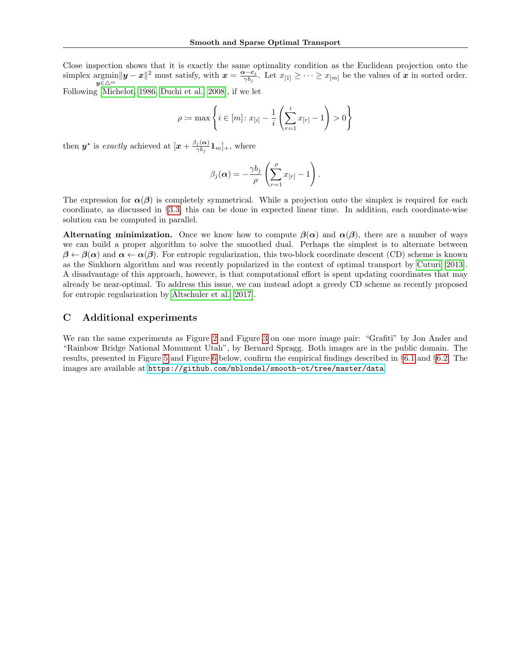Close inspection shows that it is exactly the same optimality condition as the Euclidean projection onto the simplex argmin  $y$ ∈ $\triangle^m$  $||y-x||^2$  must satisfy, with  $x = \frac{\alpha - c_j}{\gamma b_j}$ . Let  $x_{[1]} \geq \cdots \geq x_{[m]}$  be the values of x in sorted order.

Following [\[Michelot, 1986,](#page--1-17) [Duchi et al., 2008\]](#page--1-18), if we let

$$
\rho\coloneqq\max\left\{i\in[m]\colon x_{[i]}-\frac{1}{i}\left(\sum_{r=1}^i x_{[r]}-1\right)>0\right\}
$$

then  $y^*$  is exactly achieved at  $[x + \frac{\beta_j(\alpha)}{\gamma b}]$  $\frac{j(\mathbf{\alpha})}{\gamma b_j}$ **1**<sub>m</sub>]<sub>+</sub>, where

$$
\beta_j(\boldsymbol{\alpha}) = -\frac{\gamma b_j}{\rho} \left( \sum_{r=1}^{\rho} x_{[r]} - 1 \right).
$$

The expression for  $\alpha(\beta)$  is completely symmetrical. While a projection onto the simplex is required for each coordinate, as discussed in §[3.3,](#page--1-19) this can be done in expected linear time. In addition, each coordinate-wise solution can be computed in parallel.

**Alternating minimization.** Once we know how to compute  $\beta(\alpha)$  and  $\alpha(\beta)$ , there are a number of ways we can build a proper algorithm to solve the smoothed dual. Perhaps the simplest is to alternate between  $\beta \leftarrow \beta(\alpha)$  and  $\alpha \leftarrow \alpha(\beta)$ . For entropic regularization, this two-block coordinate descent (CD) scheme is known as the Sinkhorn algorithm and was recently popularized in the context of optimal transport by [Cuturi \[2013\]](#page--1-9). A disadvantage of this approach, however, is that computational effort is spent updating coordinates that may already be near-optimal. To address this issue, we can instead adopt a greedy CD scheme as recently proposed for entropic regularization by [Altschuler et al. \[2017\]](#page--1-20).

## C Additional experiments

We ran the same experiments as Figure [2](#page--1-21) and Figure [3](#page--1-22) on one more image pair: "Grafiti" by Jon Ander and "Rainbow Bridge National Monument Utah", by Bernard Spragg. Both images are in the public domain. The results, presented in Figure [5](#page-6-0) and Figure [6](#page-6-1) below, confirm the empirical findings described in §[6.1](#page--1-23) and §[6.2.](#page--1-24) The images are available at <https://github.com/mblondel/smooth-ot/tree/master/data>.